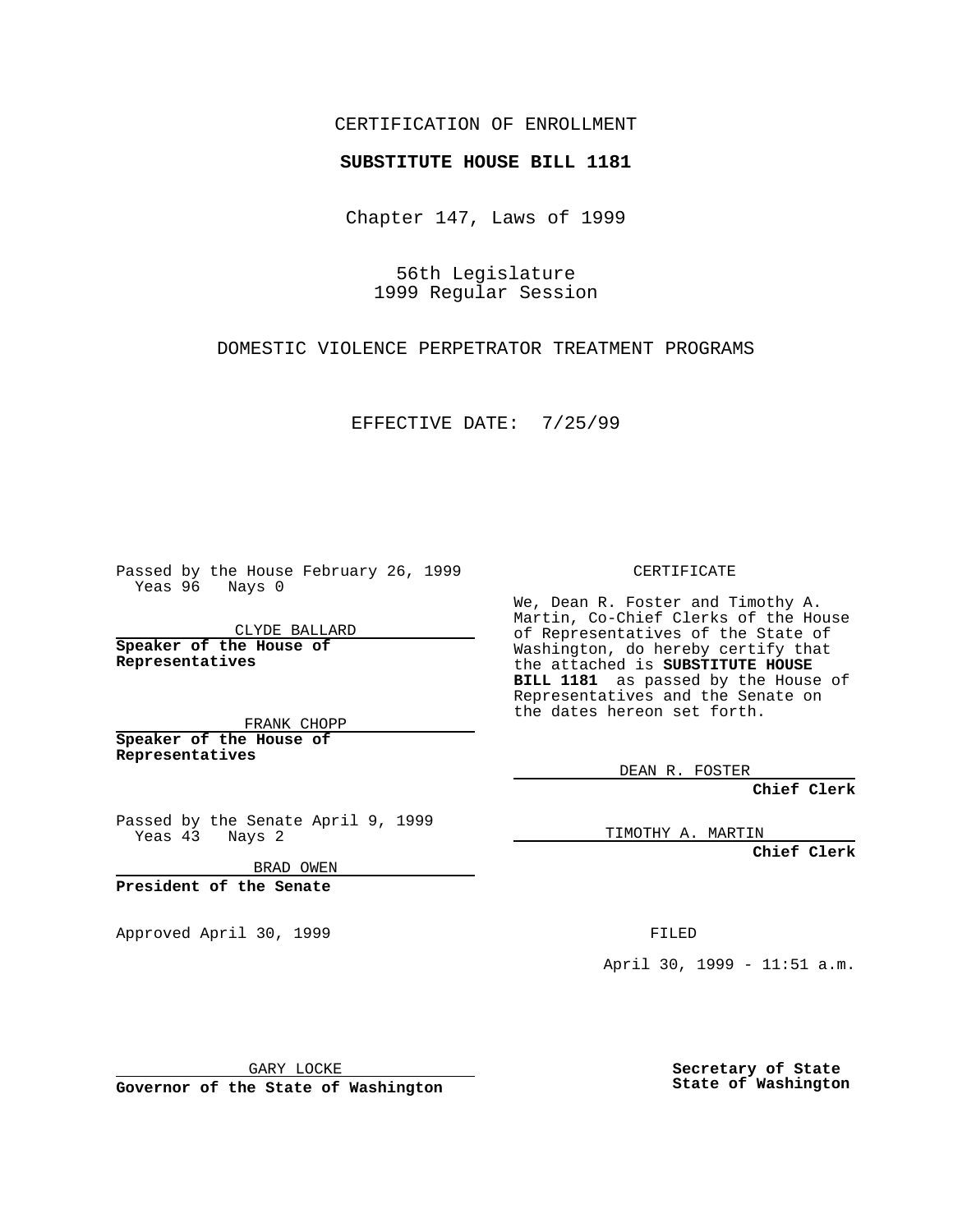### CERTIFICATION OF ENROLLMENT

# **SUBSTITUTE HOUSE BILL 1181**

Chapter 147, Laws of 1999

56th Legislature 1999 Regular Session

DOMESTIC VIOLENCE PERPETRATOR TREATMENT PROGRAMS

EFFECTIVE DATE: 7/25/99

Passed by the House February 26, 1999 Yeas 96 Nays 0

CLYDE BALLARD **Speaker of the House of Representatives**

FRANK CHOPP **Speaker of the House of Representatives**

Passed by the Senate April 9, 1999 Yeas 43 Nays 2

BRAD OWEN

**President of the Senate**

Approved April 30, 1999 **FILED** 

#### CERTIFICATE

We, Dean R. Foster and Timothy A. Martin, Co-Chief Clerks of the House of Representatives of the State of Washington, do hereby certify that the attached is **SUBSTITUTE HOUSE BILL 1181** as passed by the House of Representatives and the Senate on the dates hereon set forth.

DEAN R. FOSTER

**Chief Clerk**

TIMOTHY A. MARTIN

**Chief Clerk**

April 30, 1999 - 11:51 a.m.

GARY LOCKE

**Governor of the State of Washington**

**Secretary of State State of Washington**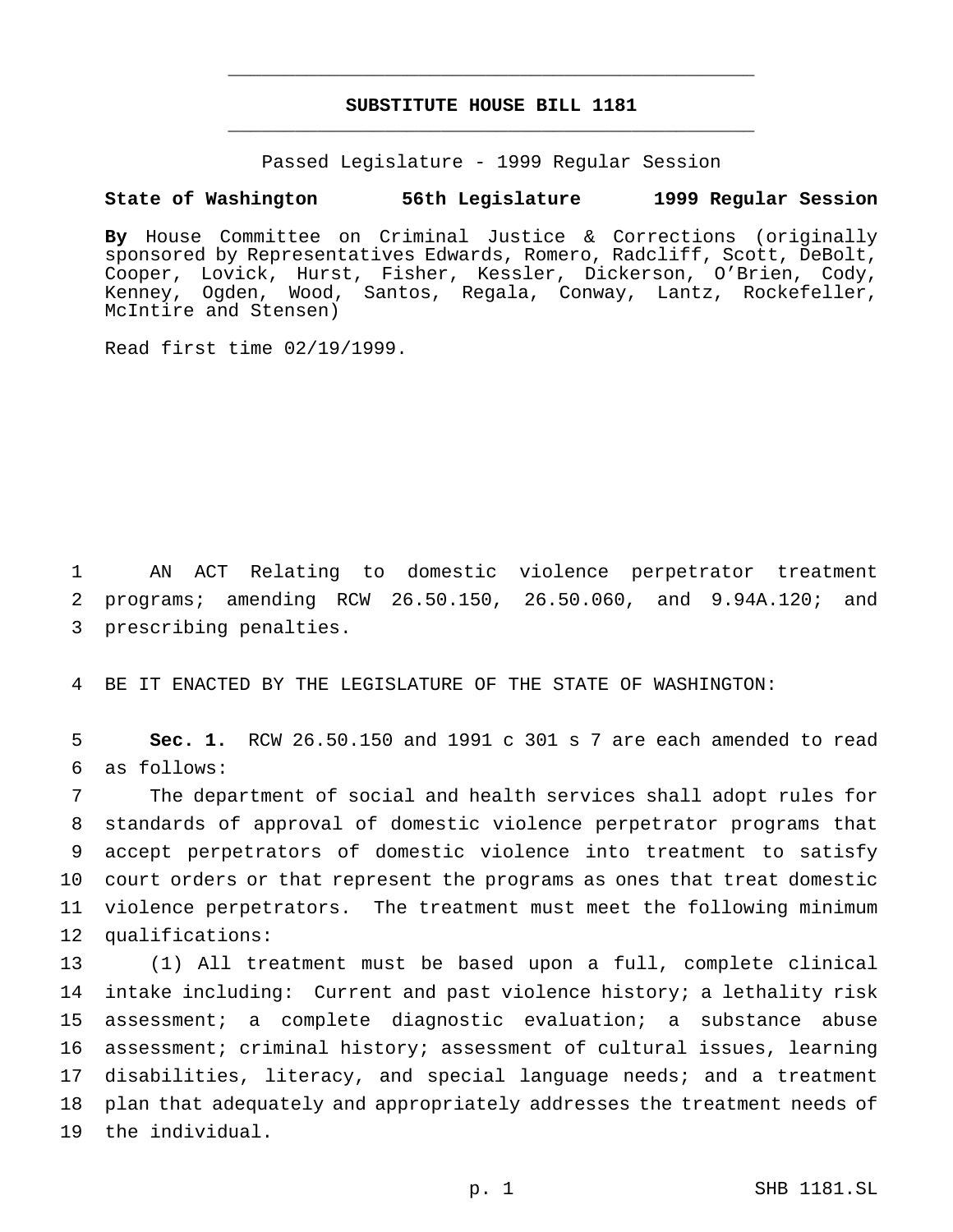## **SUBSTITUTE HOUSE BILL 1181** \_\_\_\_\_\_\_\_\_\_\_\_\_\_\_\_\_\_\_\_\_\_\_\_\_\_\_\_\_\_\_\_\_\_\_\_\_\_\_\_\_\_\_\_\_\_\_

\_\_\_\_\_\_\_\_\_\_\_\_\_\_\_\_\_\_\_\_\_\_\_\_\_\_\_\_\_\_\_\_\_\_\_\_\_\_\_\_\_\_\_\_\_\_\_

Passed Legislature - 1999 Regular Session

#### **State of Washington 56th Legislature 1999 Regular Session**

**By** House Committee on Criminal Justice & Corrections (originally sponsored by Representatives Edwards, Romero, Radcliff, Scott, DeBolt, Cooper, Lovick, Hurst, Fisher, Kessler, Dickerson, O'Brien, Cody, Kenney, Ogden, Wood, Santos, Regala, Conway, Lantz, Rockefeller, McIntire and Stensen)

Read first time 02/19/1999.

 AN ACT Relating to domestic violence perpetrator treatment programs; amending RCW 26.50.150, 26.50.060, and 9.94A.120; and prescribing penalties.

BE IT ENACTED BY THE LEGISLATURE OF THE STATE OF WASHINGTON:

 **Sec. 1.** RCW 26.50.150 and 1991 c 301 s 7 are each amended to read as follows:

 The department of social and health services shall adopt rules for standards of approval of domestic violence perpetrator programs that accept perpetrators of domestic violence into treatment to satisfy court orders or that represent the programs as ones that treat domestic violence perpetrators. The treatment must meet the following minimum qualifications:

 (1) All treatment must be based upon a full, complete clinical intake including: Current and past violence history; a lethality risk assessment; a complete diagnostic evaluation; a substance abuse assessment; criminal history; assessment of cultural issues, learning disabilities, literacy, and special language needs; and a treatment plan that adequately and appropriately addresses the treatment needs of the individual.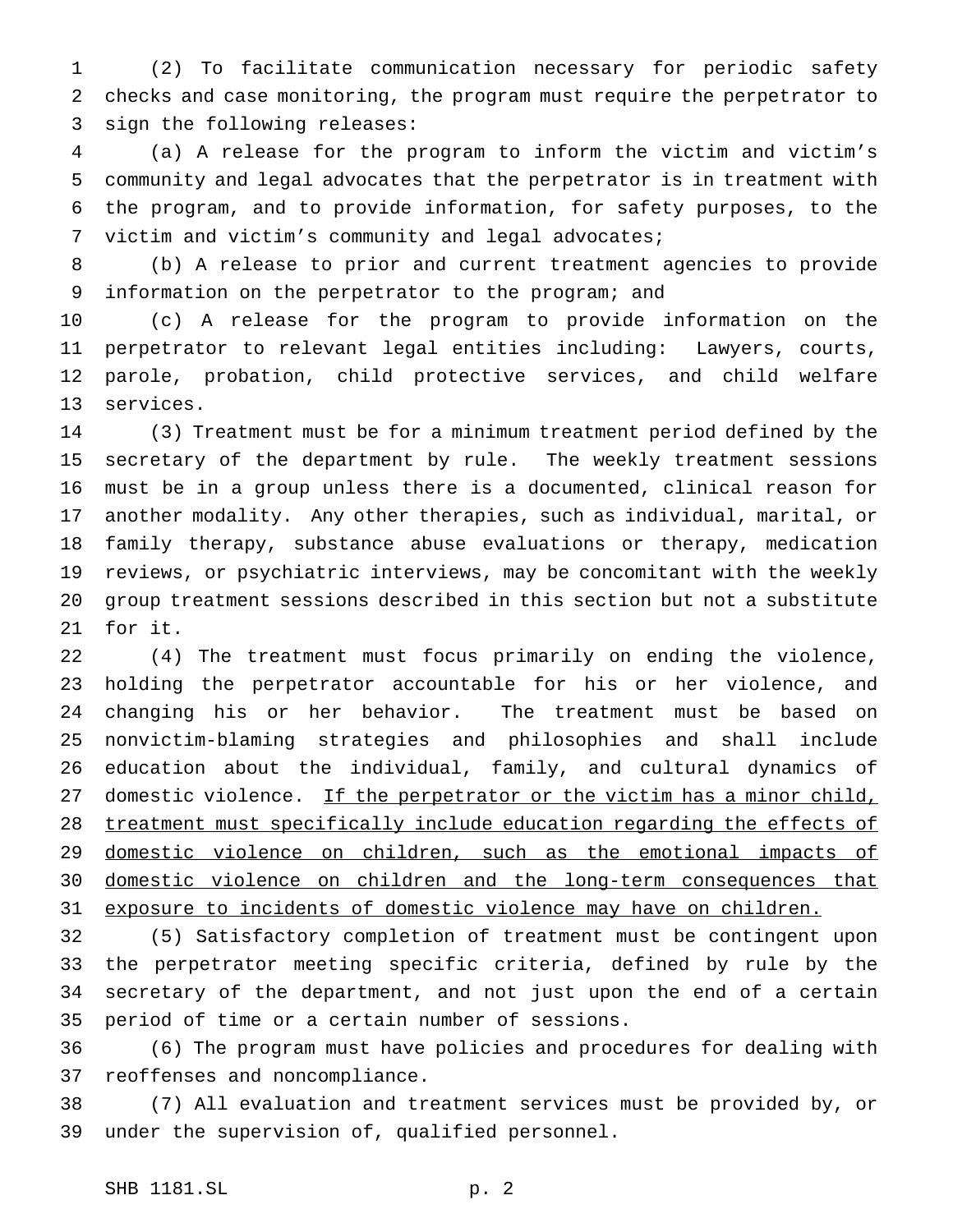(2) To facilitate communication necessary for periodic safety checks and case monitoring, the program must require the perpetrator to sign the following releases:

 (a) A release for the program to inform the victim and victim's community and legal advocates that the perpetrator is in treatment with the program, and to provide information, for safety purposes, to the victim and victim's community and legal advocates;

 (b) A release to prior and current treatment agencies to provide information on the perpetrator to the program; and

 (c) A release for the program to provide information on the perpetrator to relevant legal entities including: Lawyers, courts, parole, probation, child protective services, and child welfare services.

 (3) Treatment must be for a minimum treatment period defined by the secretary of the department by rule. The weekly treatment sessions must be in a group unless there is a documented, clinical reason for another modality. Any other therapies, such as individual, marital, or family therapy, substance abuse evaluations or therapy, medication reviews, or psychiatric interviews, may be concomitant with the weekly group treatment sessions described in this section but not a substitute for it.

 (4) The treatment must focus primarily on ending the violence, holding the perpetrator accountable for his or her violence, and changing his or her behavior. The treatment must be based on nonvictim-blaming strategies and philosophies and shall include education about the individual, family, and cultural dynamics of 27 domestic violence. If the perpetrator or the victim has a minor child, treatment must specifically include education regarding the effects of domestic violence on children, such as the emotional impacts of domestic violence on children and the long-term consequences that 31 exposure to incidents of domestic violence may have on children.

 (5) Satisfactory completion of treatment must be contingent upon the perpetrator meeting specific criteria, defined by rule by the secretary of the department, and not just upon the end of a certain period of time or a certain number of sessions.

 (6) The program must have policies and procedures for dealing with reoffenses and noncompliance.

 (7) All evaluation and treatment services must be provided by, or under the supervision of, qualified personnel.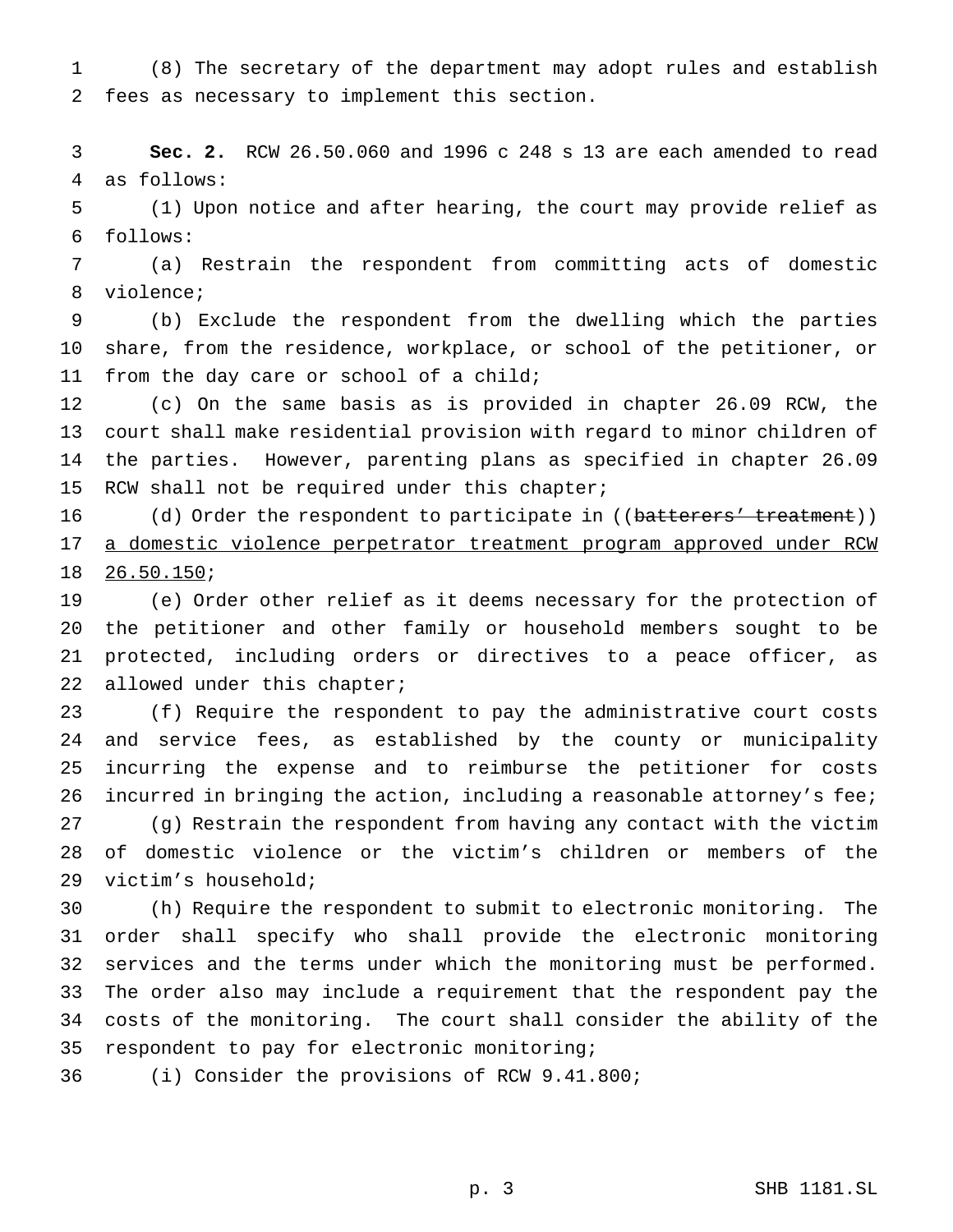(8) The secretary of the department may adopt rules and establish fees as necessary to implement this section.

 **Sec. 2.** RCW 26.50.060 and 1996 c 248 s 13 are each amended to read as follows:

 (1) Upon notice and after hearing, the court may provide relief as follows:

 (a) Restrain the respondent from committing acts of domestic violence;

 (b) Exclude the respondent from the dwelling which the parties share, from the residence, workplace, or school of the petitioner, or 11 from the day care or school of a child;

 (c) On the same basis as is provided in chapter 26.09 RCW, the court shall make residential provision with regard to minor children of the parties. However, parenting plans as specified in chapter 26.09 15 RCW shall not be required under this chapter;

16 (d) Order the respondent to participate in ((batterers' treatment)) a domestic violence perpetrator treatment program approved under RCW 26.50.150;

 (e) Order other relief as it deems necessary for the protection of the petitioner and other family or household members sought to be protected, including orders or directives to a peace officer, as 22 allowed under this chapter;

 (f) Require the respondent to pay the administrative court costs and service fees, as established by the county or municipality incurring the expense and to reimburse the petitioner for costs 26 incurred in bringing the action, including a reasonable attorney's fee; (g) Restrain the respondent from having any contact with the victim of domestic violence or the victim's children or members of the

victim's household;

 (h) Require the respondent to submit to electronic monitoring. The order shall specify who shall provide the electronic monitoring services and the terms under which the monitoring must be performed. The order also may include a requirement that the respondent pay the costs of the monitoring. The court shall consider the ability of the respondent to pay for electronic monitoring;

(i) Consider the provisions of RCW 9.41.800;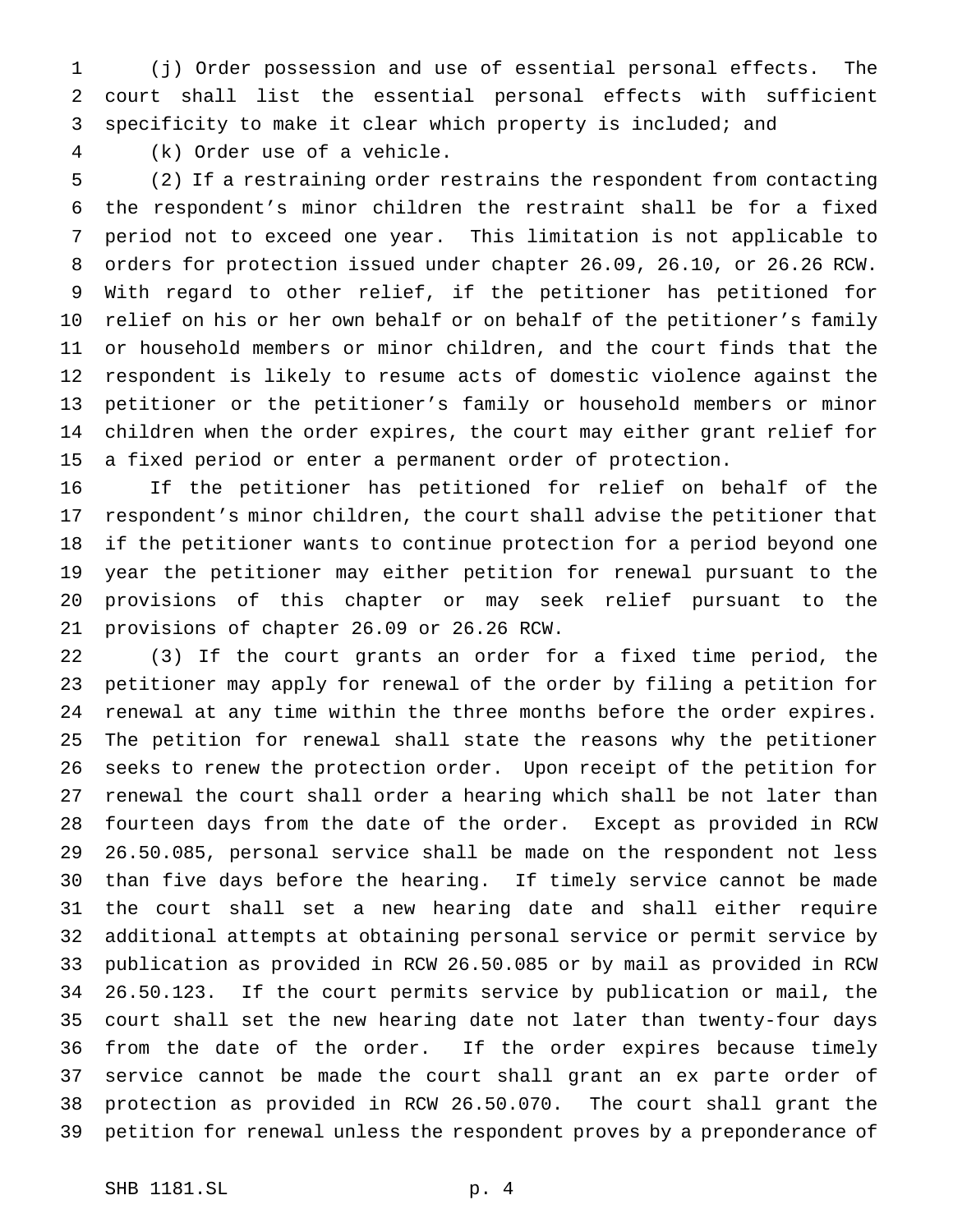(j) Order possession and use of essential personal effects. The court shall list the essential personal effects with sufficient specificity to make it clear which property is included; and

(k) Order use of a vehicle.

 (2) If a restraining order restrains the respondent from contacting the respondent's minor children the restraint shall be for a fixed period not to exceed one year. This limitation is not applicable to orders for protection issued under chapter 26.09, 26.10, or 26.26 RCW. With regard to other relief, if the petitioner has petitioned for relief on his or her own behalf or on behalf of the petitioner's family or household members or minor children, and the court finds that the respondent is likely to resume acts of domestic violence against the petitioner or the petitioner's family or household members or minor children when the order expires, the court may either grant relief for a fixed period or enter a permanent order of protection.

 If the petitioner has petitioned for relief on behalf of the respondent's minor children, the court shall advise the petitioner that if the petitioner wants to continue protection for a period beyond one year the petitioner may either petition for renewal pursuant to the provisions of this chapter or may seek relief pursuant to the provisions of chapter 26.09 or 26.26 RCW.

 (3) If the court grants an order for a fixed time period, the petitioner may apply for renewal of the order by filing a petition for renewal at any time within the three months before the order expires. The petition for renewal shall state the reasons why the petitioner seeks to renew the protection order. Upon receipt of the petition for renewal the court shall order a hearing which shall be not later than fourteen days from the date of the order. Except as provided in RCW 26.50.085, personal service shall be made on the respondent not less than five days before the hearing. If timely service cannot be made the court shall set a new hearing date and shall either require additional attempts at obtaining personal service or permit service by publication as provided in RCW 26.50.085 or by mail as provided in RCW 26.50.123. If the court permits service by publication or mail, the court shall set the new hearing date not later than twenty-four days from the date of the order. If the order expires because timely service cannot be made the court shall grant an ex parte order of protection as provided in RCW 26.50.070. The court shall grant the petition for renewal unless the respondent proves by a preponderance of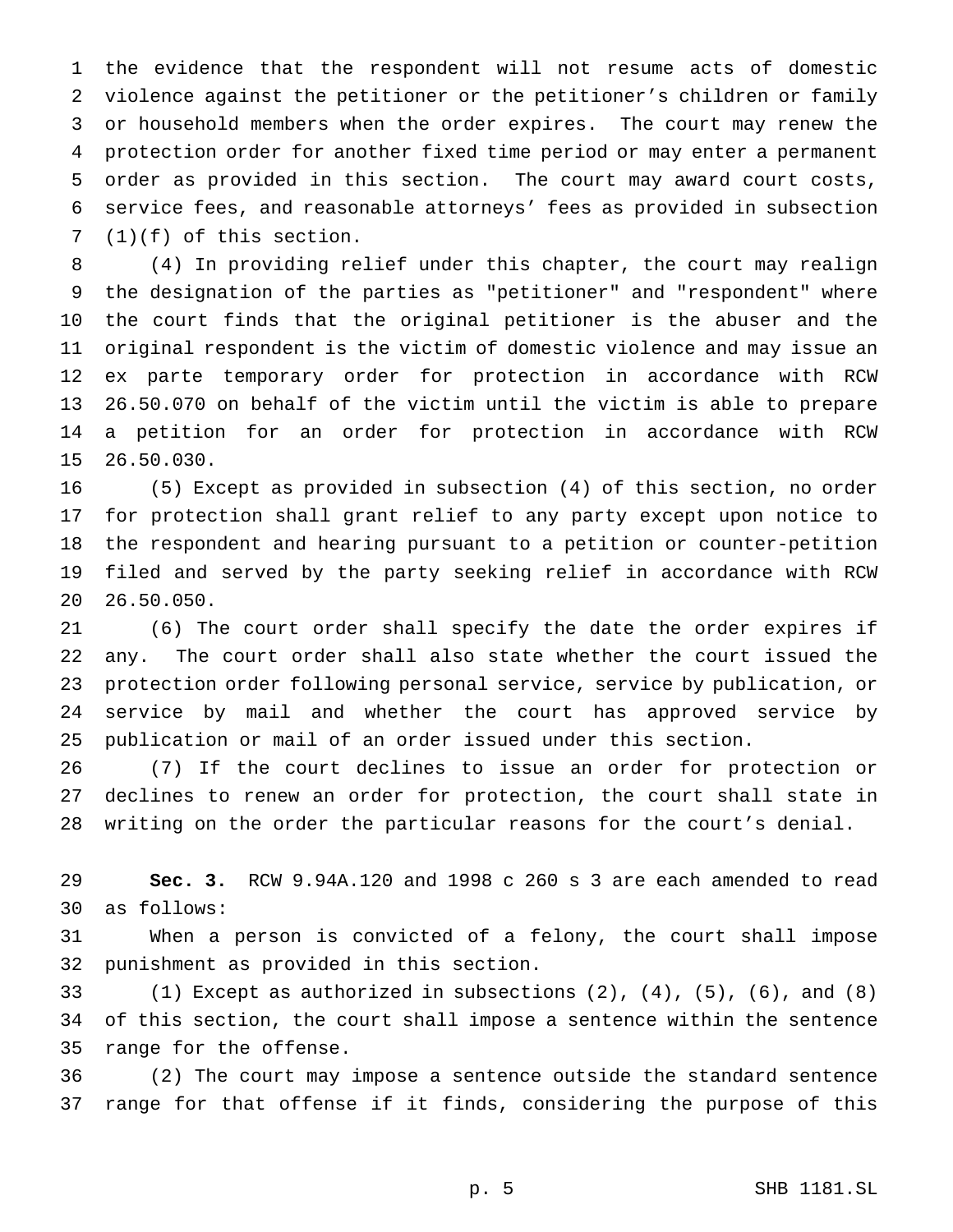the evidence that the respondent will not resume acts of domestic violence against the petitioner or the petitioner's children or family or household members when the order expires. The court may renew the protection order for another fixed time period or may enter a permanent order as provided in this section. The court may award court costs, service fees, and reasonable attorneys' fees as provided in subsection (1)(f) of this section.

 (4) In providing relief under this chapter, the court may realign the designation of the parties as "petitioner" and "respondent" where the court finds that the original petitioner is the abuser and the original respondent is the victim of domestic violence and may issue an ex parte temporary order for protection in accordance with RCW 26.50.070 on behalf of the victim until the victim is able to prepare a petition for an order for protection in accordance with RCW 26.50.030.

 (5) Except as provided in subsection (4) of this section, no order for protection shall grant relief to any party except upon notice to the respondent and hearing pursuant to a petition or counter-petition filed and served by the party seeking relief in accordance with RCW 26.50.050.

 (6) The court order shall specify the date the order expires if any. The court order shall also state whether the court issued the protection order following personal service, service by publication, or service by mail and whether the court has approved service by publication or mail of an order issued under this section.

 (7) If the court declines to issue an order for protection or declines to renew an order for protection, the court shall state in writing on the order the particular reasons for the court's denial.

 **Sec. 3.** RCW 9.94A.120 and 1998 c 260 s 3 are each amended to read as follows:

 When a person is convicted of a felony, the court shall impose punishment as provided in this section.

 (1) Except as authorized in subsections (2), (4), (5), (6), and (8) of this section, the court shall impose a sentence within the sentence range for the offense.

 (2) The court may impose a sentence outside the standard sentence range for that offense if it finds, considering the purpose of this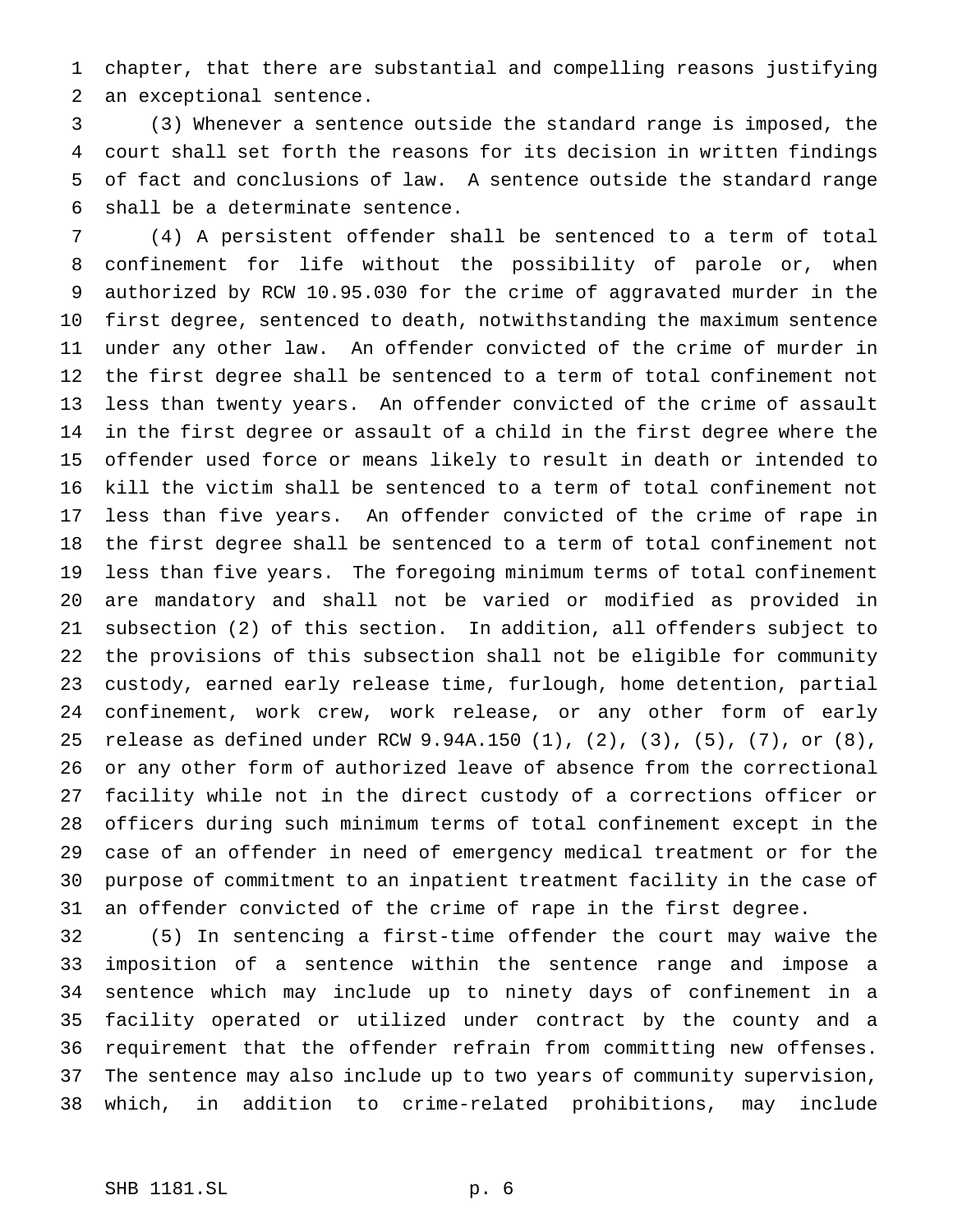chapter, that there are substantial and compelling reasons justifying an exceptional sentence.

 (3) Whenever a sentence outside the standard range is imposed, the court shall set forth the reasons for its decision in written findings of fact and conclusions of law. A sentence outside the standard range shall be a determinate sentence.

 (4) A persistent offender shall be sentenced to a term of total confinement for life without the possibility of parole or, when authorized by RCW 10.95.030 for the crime of aggravated murder in the first degree, sentenced to death, notwithstanding the maximum sentence under any other law. An offender convicted of the crime of murder in the first degree shall be sentenced to a term of total confinement not less than twenty years. An offender convicted of the crime of assault in the first degree or assault of a child in the first degree where the offender used force or means likely to result in death or intended to kill the victim shall be sentenced to a term of total confinement not less than five years. An offender convicted of the crime of rape in the first degree shall be sentenced to a term of total confinement not less than five years. The foregoing minimum terms of total confinement are mandatory and shall not be varied or modified as provided in subsection (2) of this section. In addition, all offenders subject to the provisions of this subsection shall not be eligible for community custody, earned early release time, furlough, home detention, partial confinement, work crew, work release, or any other form of early release as defined under RCW 9.94A.150 (1), (2), (3), (5), (7), or (8), or any other form of authorized leave of absence from the correctional facility while not in the direct custody of a corrections officer or officers during such minimum terms of total confinement except in the case of an offender in need of emergency medical treatment or for the purpose of commitment to an inpatient treatment facility in the case of an offender convicted of the crime of rape in the first degree.

 (5) In sentencing a first-time offender the court may waive the imposition of a sentence within the sentence range and impose a sentence which may include up to ninety days of confinement in a facility operated or utilized under contract by the county and a requirement that the offender refrain from committing new offenses. The sentence may also include up to two years of community supervision, which, in addition to crime-related prohibitions, may include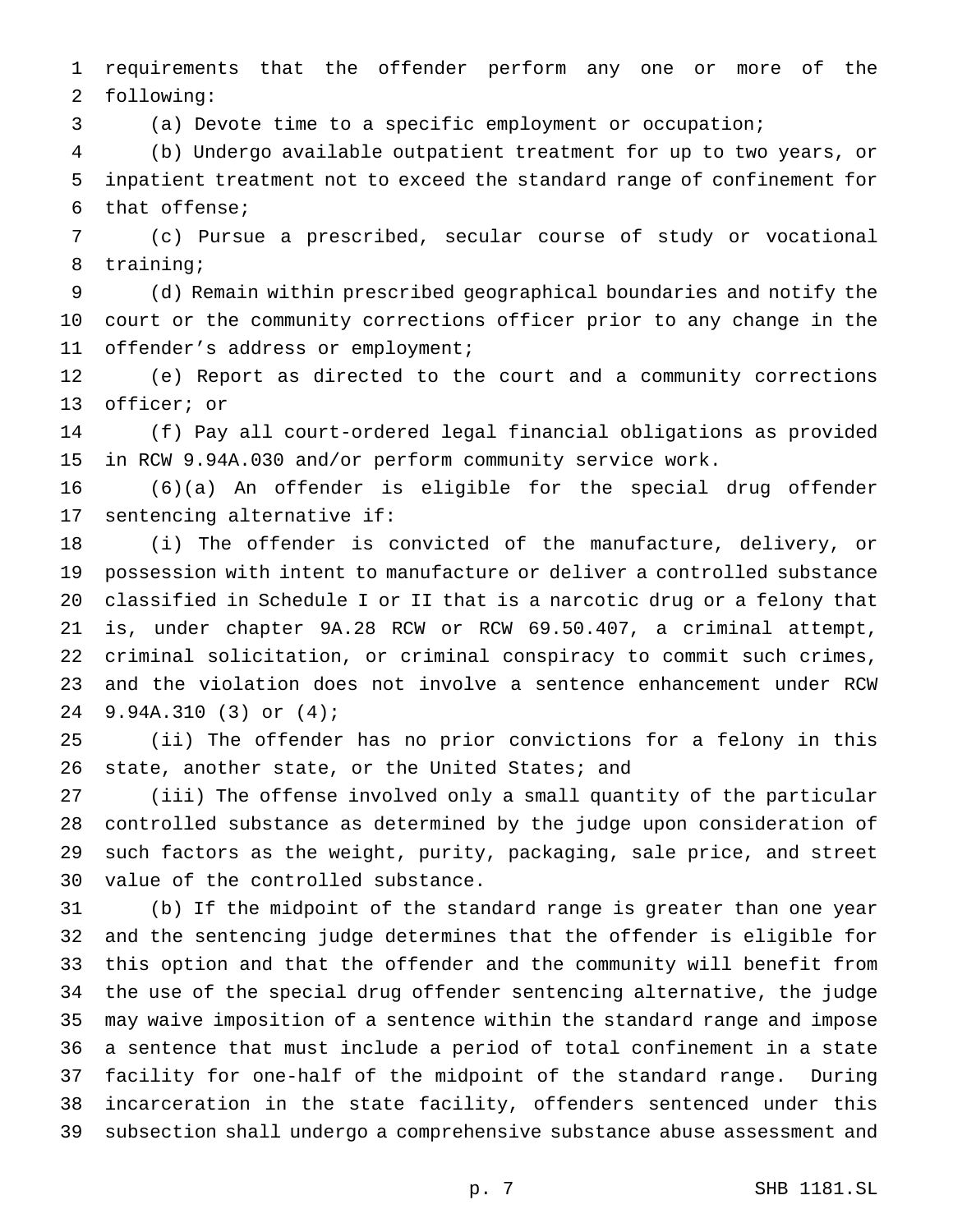requirements that the offender perform any one or more of the following:

(a) Devote time to a specific employment or occupation;

 (b) Undergo available outpatient treatment for up to two years, or inpatient treatment not to exceed the standard range of confinement for that offense;

 (c) Pursue a prescribed, secular course of study or vocational training;

 (d) Remain within prescribed geographical boundaries and notify the court or the community corrections officer prior to any change in the offender's address or employment;

 (e) Report as directed to the court and a community corrections officer; or

 (f) Pay all court-ordered legal financial obligations as provided in RCW 9.94A.030 and/or perform community service work.

 (6)(a) An offender is eligible for the special drug offender sentencing alternative if:

 (i) The offender is convicted of the manufacture, delivery, or possession with intent to manufacture or deliver a controlled substance classified in Schedule I or II that is a narcotic drug or a felony that is, under chapter 9A.28 RCW or RCW 69.50.407, a criminal attempt, criminal solicitation, or criminal conspiracy to commit such crimes, and the violation does not involve a sentence enhancement under RCW 9.94A.310 (3) or (4);

 (ii) The offender has no prior convictions for a felony in this 26 state, another state, or the United States; and

 (iii) The offense involved only a small quantity of the particular controlled substance as determined by the judge upon consideration of such factors as the weight, purity, packaging, sale price, and street value of the controlled substance.

 (b) If the midpoint of the standard range is greater than one year and the sentencing judge determines that the offender is eligible for this option and that the offender and the community will benefit from the use of the special drug offender sentencing alternative, the judge may waive imposition of a sentence within the standard range and impose a sentence that must include a period of total confinement in a state facility for one-half of the midpoint of the standard range. During incarceration in the state facility, offenders sentenced under this subsection shall undergo a comprehensive substance abuse assessment and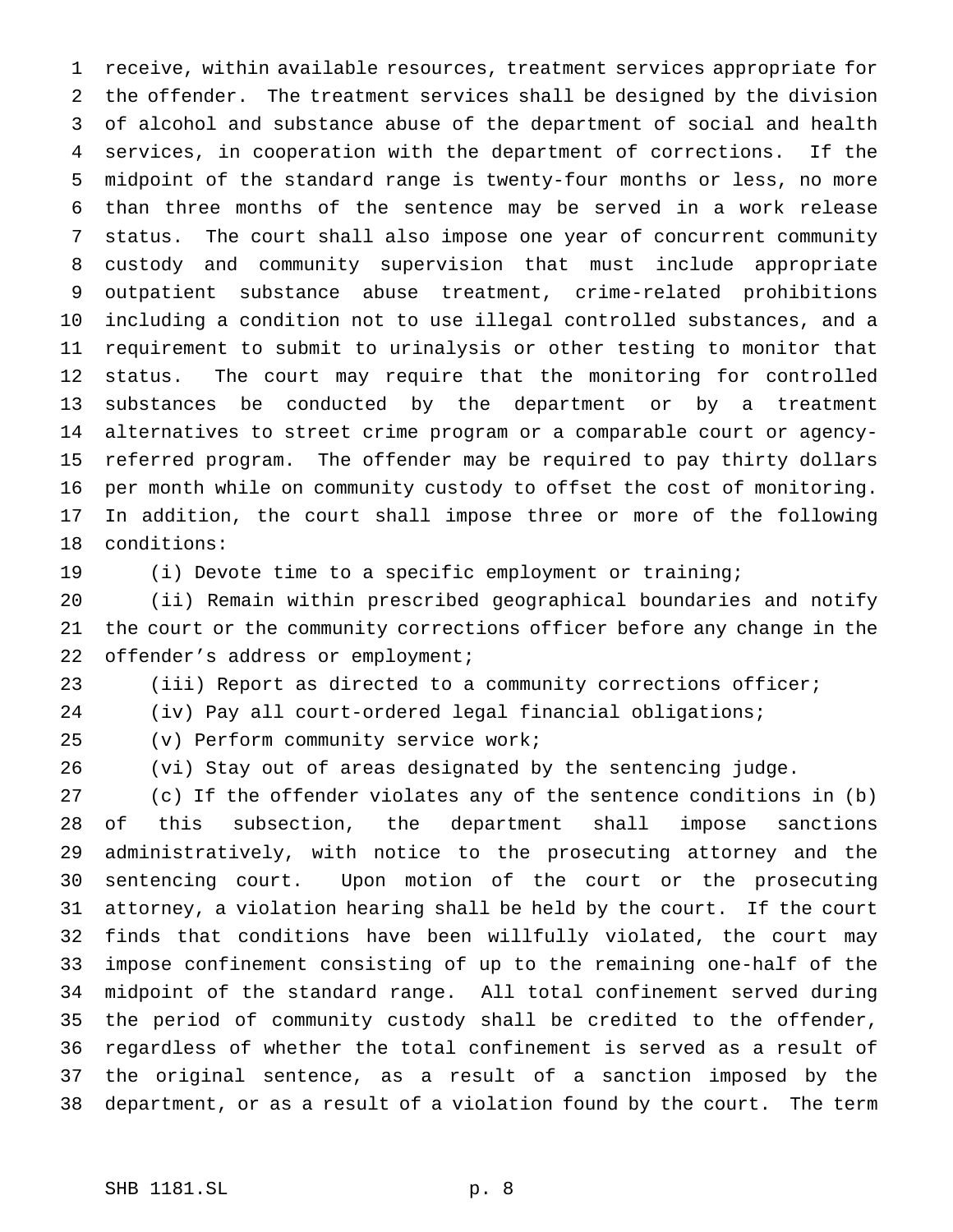receive, within available resources, treatment services appropriate for the offender. The treatment services shall be designed by the division of alcohol and substance abuse of the department of social and health services, in cooperation with the department of corrections. If the midpoint of the standard range is twenty-four months or less, no more than three months of the sentence may be served in a work release status. The court shall also impose one year of concurrent community custody and community supervision that must include appropriate outpatient substance abuse treatment, crime-related prohibitions including a condition not to use illegal controlled substances, and a requirement to submit to urinalysis or other testing to monitor that status. The court may require that the monitoring for controlled substances be conducted by the department or by a treatment alternatives to street crime program or a comparable court or agency- referred program. The offender may be required to pay thirty dollars per month while on community custody to offset the cost of monitoring. In addition, the court shall impose three or more of the following conditions:

(i) Devote time to a specific employment or training;

 (ii) Remain within prescribed geographical boundaries and notify the court or the community corrections officer before any change in the 22 offender's address or employment;

(iii) Report as directed to a community corrections officer;

(iv) Pay all court-ordered legal financial obligations;

(v) Perform community service work;

(vi) Stay out of areas designated by the sentencing judge.

 (c) If the offender violates any of the sentence conditions in (b) of this subsection, the department shall impose sanctions administratively, with notice to the prosecuting attorney and the sentencing court. Upon motion of the court or the prosecuting attorney, a violation hearing shall be held by the court. If the court finds that conditions have been willfully violated, the court may impose confinement consisting of up to the remaining one-half of the midpoint of the standard range. All total confinement served during the period of community custody shall be credited to the offender, regardless of whether the total confinement is served as a result of the original sentence, as a result of a sanction imposed by the department, or as a result of a violation found by the court. The term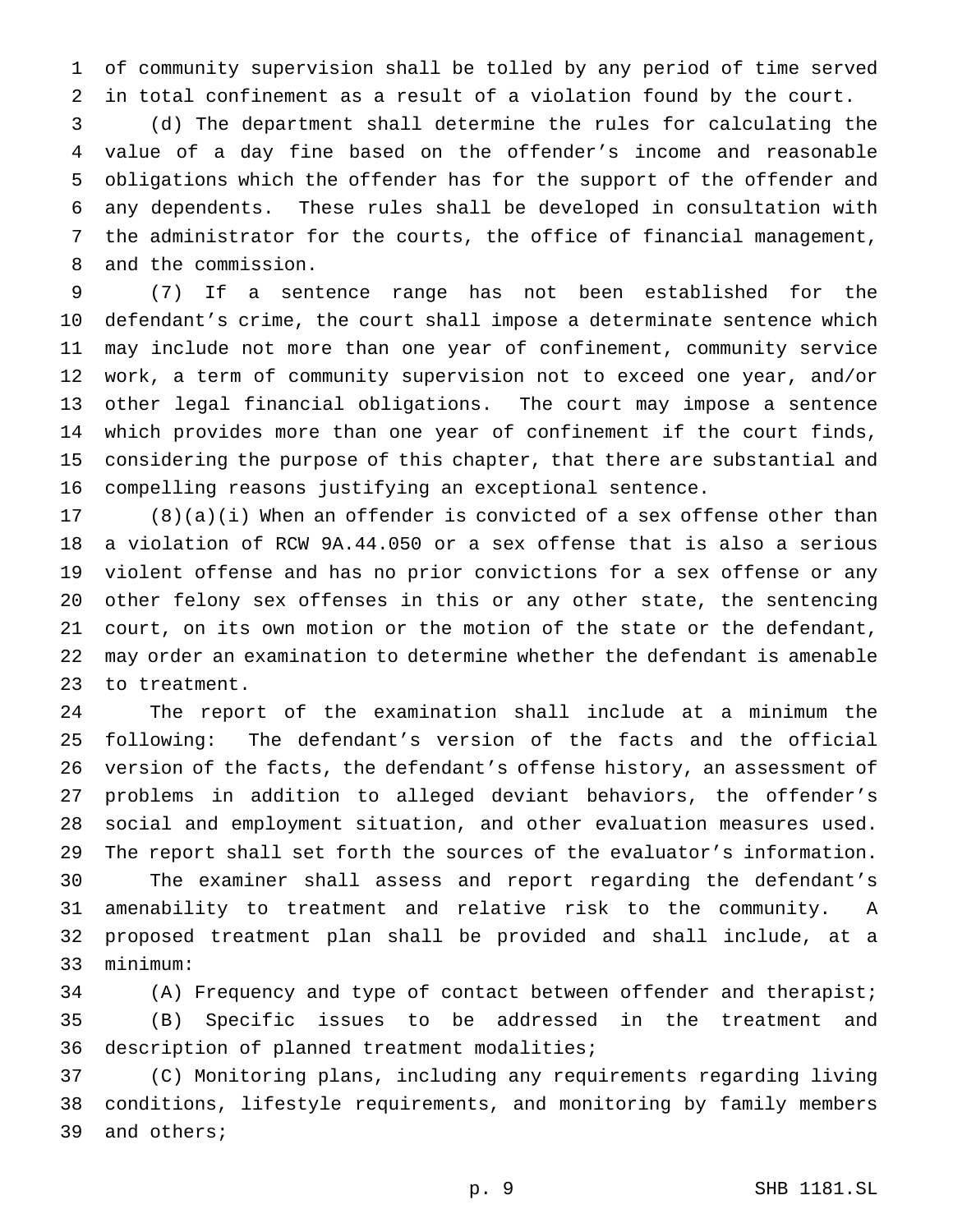of community supervision shall be tolled by any period of time served in total confinement as a result of a violation found by the court.

 (d) The department shall determine the rules for calculating the value of a day fine based on the offender's income and reasonable obligations which the offender has for the support of the offender and any dependents. These rules shall be developed in consultation with the administrator for the courts, the office of financial management, and the commission.

 (7) If a sentence range has not been established for the defendant's crime, the court shall impose a determinate sentence which may include not more than one year of confinement, community service work, a term of community supervision not to exceed one year, and/or other legal financial obligations. The court may impose a sentence which provides more than one year of confinement if the court finds, considering the purpose of this chapter, that there are substantial and compelling reasons justifying an exceptional sentence.

 (8)(a)(i) When an offender is convicted of a sex offense other than a violation of RCW 9A.44.050 or a sex offense that is also a serious violent offense and has no prior convictions for a sex offense or any other felony sex offenses in this or any other state, the sentencing court, on its own motion or the motion of the state or the defendant, may order an examination to determine whether the defendant is amenable to treatment.

 The report of the examination shall include at a minimum the following: The defendant's version of the facts and the official version of the facts, the defendant's offense history, an assessment of problems in addition to alleged deviant behaviors, the offender's social and employment situation, and other evaluation measures used. The report shall set forth the sources of the evaluator's information. The examiner shall assess and report regarding the defendant's amenability to treatment and relative risk to the community. A proposed treatment plan shall be provided and shall include, at a minimum:

 (A) Frequency and type of contact between offender and therapist; (B) Specific issues to be addressed in the treatment and description of planned treatment modalities;

 (C) Monitoring plans, including any requirements regarding living conditions, lifestyle requirements, and monitoring by family members and others;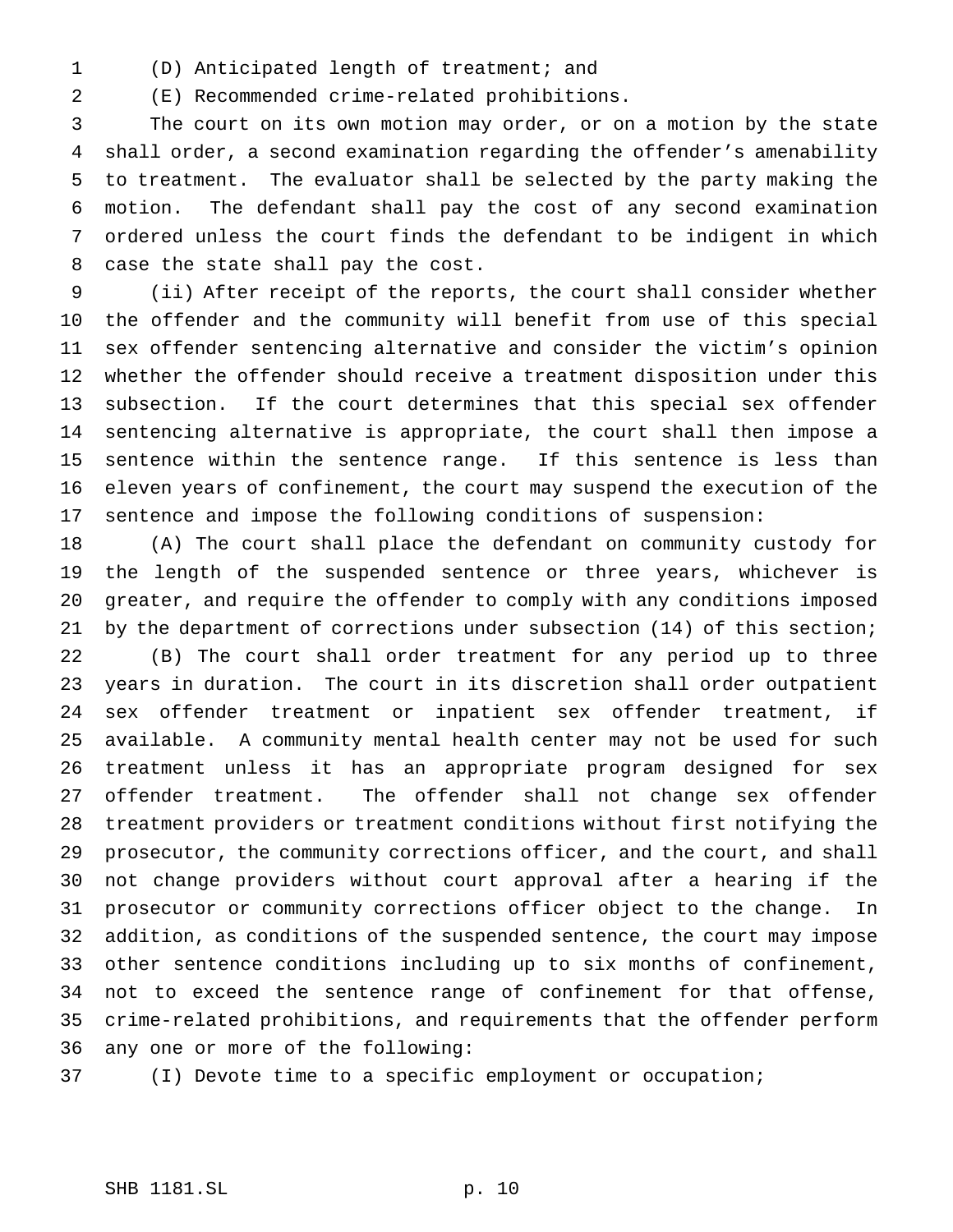(D) Anticipated length of treatment; and

(E) Recommended crime-related prohibitions.

 The court on its own motion may order, or on a motion by the state shall order, a second examination regarding the offender's amenability to treatment. The evaluator shall be selected by the party making the motion. The defendant shall pay the cost of any second examination ordered unless the court finds the defendant to be indigent in which case the state shall pay the cost.

 (ii) After receipt of the reports, the court shall consider whether the offender and the community will benefit from use of this special sex offender sentencing alternative and consider the victim's opinion whether the offender should receive a treatment disposition under this subsection. If the court determines that this special sex offender sentencing alternative is appropriate, the court shall then impose a sentence within the sentence range. If this sentence is less than eleven years of confinement, the court may suspend the execution of the sentence and impose the following conditions of suspension:

 (A) The court shall place the defendant on community custody for the length of the suspended sentence or three years, whichever is greater, and require the offender to comply with any conditions imposed by the department of corrections under subsection (14) of this section; (B) The court shall order treatment for any period up to three years in duration. The court in its discretion shall order outpatient sex offender treatment or inpatient sex offender treatment, if available. A community mental health center may not be used for such treatment unless it has an appropriate program designed for sex offender treatment. The offender shall not change sex offender treatment providers or treatment conditions without first notifying the prosecutor, the community corrections officer, and the court, and shall not change providers without court approval after a hearing if the prosecutor or community corrections officer object to the change. In addition, as conditions of the suspended sentence, the court may impose other sentence conditions including up to six months of confinement, not to exceed the sentence range of confinement for that offense, crime-related prohibitions, and requirements that the offender perform any one or more of the following:

(I) Devote time to a specific employment or occupation;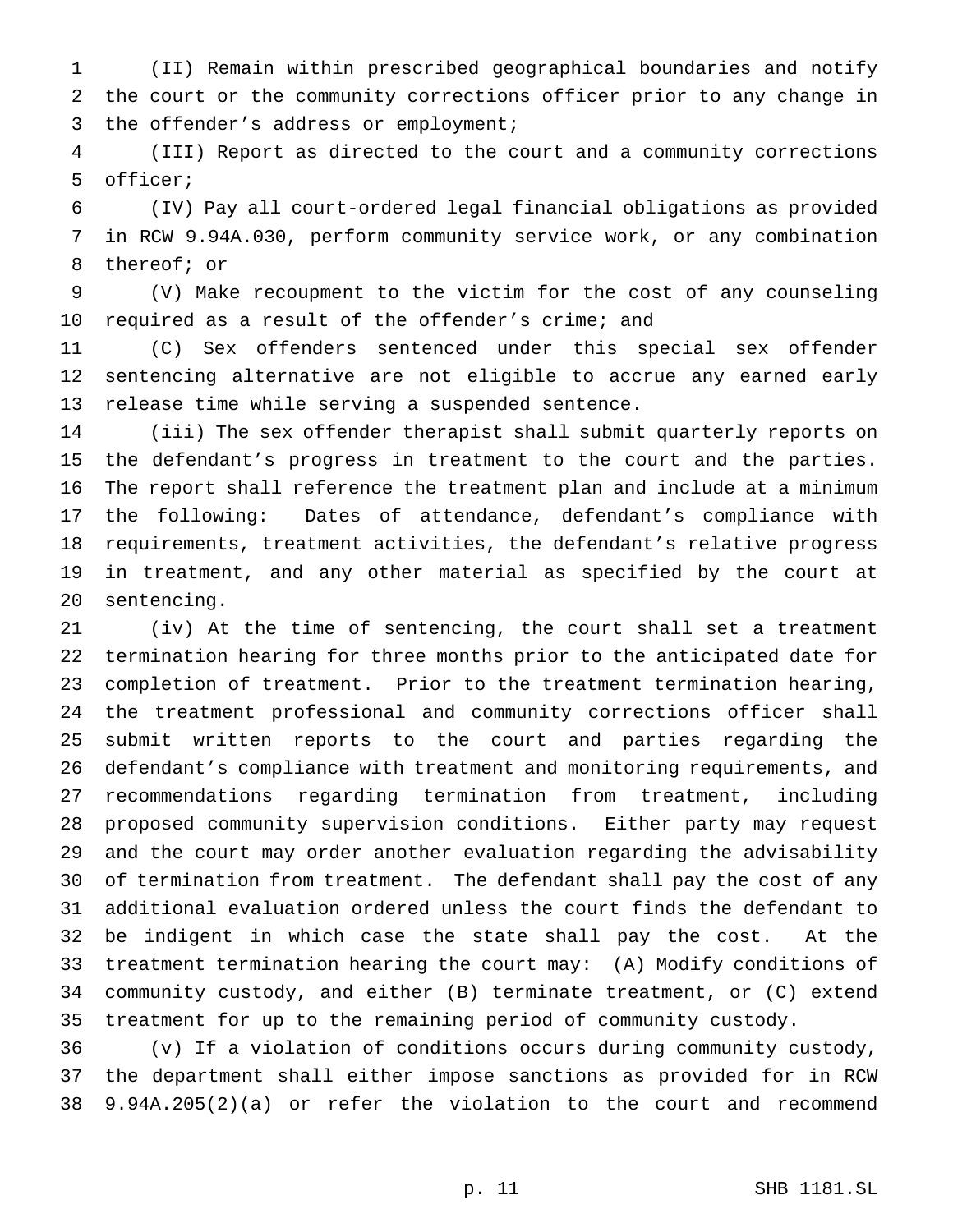(II) Remain within prescribed geographical boundaries and notify the court or the community corrections officer prior to any change in the offender's address or employment;

 (III) Report as directed to the court and a community corrections officer;

 (IV) Pay all court-ordered legal financial obligations as provided in RCW 9.94A.030, perform community service work, or any combination thereof; or

 (V) Make recoupment to the victim for the cost of any counseling required as a result of the offender's crime; and

 (C) Sex offenders sentenced under this special sex offender sentencing alternative are not eligible to accrue any earned early release time while serving a suspended sentence.

 (iii) The sex offender therapist shall submit quarterly reports on the defendant's progress in treatment to the court and the parties. The report shall reference the treatment plan and include at a minimum the following: Dates of attendance, defendant's compliance with requirements, treatment activities, the defendant's relative progress in treatment, and any other material as specified by the court at sentencing.

 (iv) At the time of sentencing, the court shall set a treatment termination hearing for three months prior to the anticipated date for completion of treatment. Prior to the treatment termination hearing, the treatment professional and community corrections officer shall submit written reports to the court and parties regarding the defendant's compliance with treatment and monitoring requirements, and recommendations regarding termination from treatment, including proposed community supervision conditions. Either party may request and the court may order another evaluation regarding the advisability of termination from treatment. The defendant shall pay the cost of any additional evaluation ordered unless the court finds the defendant to be indigent in which case the state shall pay the cost. At the treatment termination hearing the court may: (A) Modify conditions of community custody, and either (B) terminate treatment, or (C) extend treatment for up to the remaining period of community custody.

 (v) If a violation of conditions occurs during community custody, the department shall either impose sanctions as provided for in RCW 9.94A.205(2)(a) or refer the violation to the court and recommend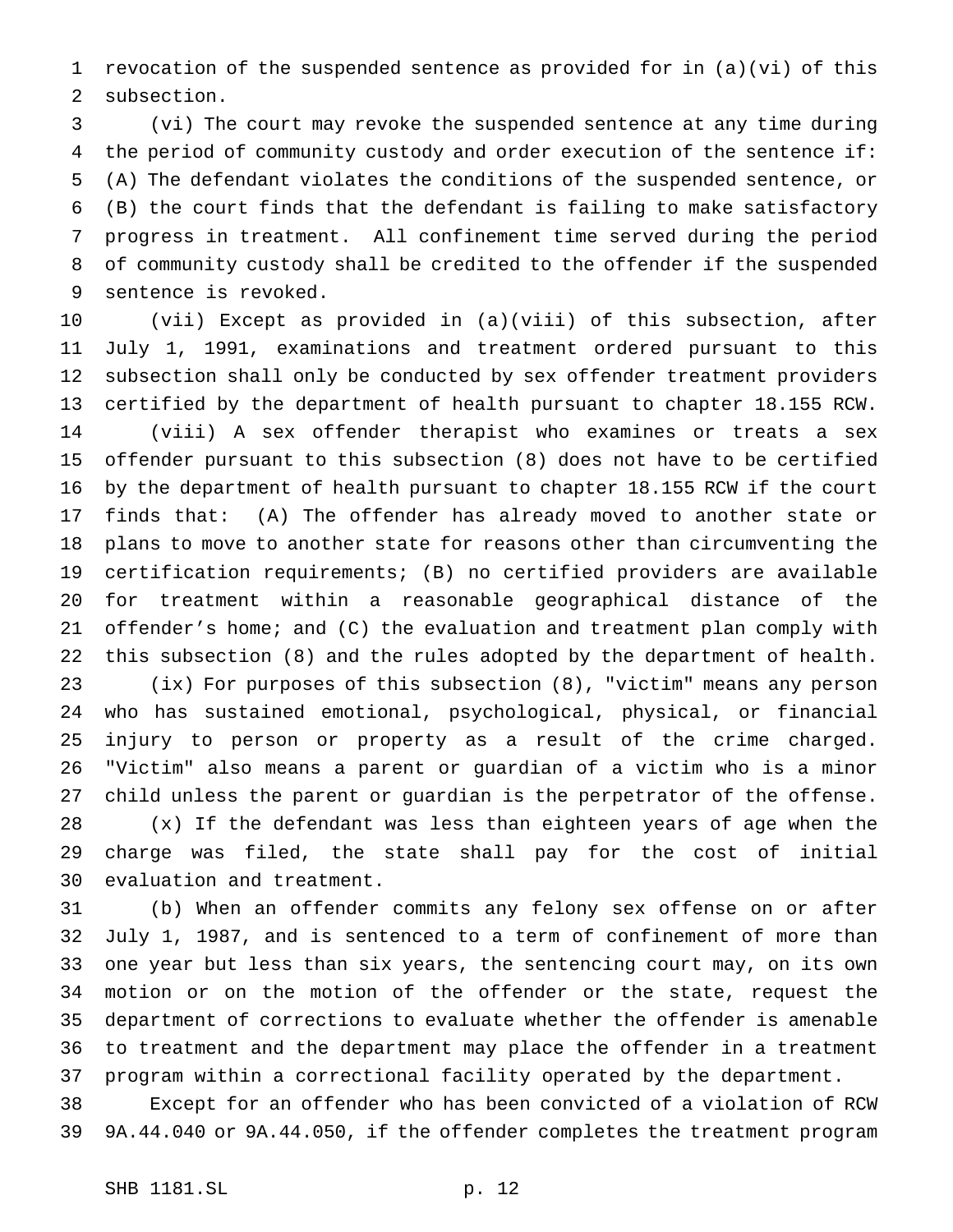revocation of the suspended sentence as provided for in (a)(vi) of this subsection.

 (vi) The court may revoke the suspended sentence at any time during the period of community custody and order execution of the sentence if: (A) The defendant violates the conditions of the suspended sentence, or (B) the court finds that the defendant is failing to make satisfactory progress in treatment. All confinement time served during the period of community custody shall be credited to the offender if the suspended sentence is revoked.

 (vii) Except as provided in (a)(viii) of this subsection, after July 1, 1991, examinations and treatment ordered pursuant to this subsection shall only be conducted by sex offender treatment providers certified by the department of health pursuant to chapter 18.155 RCW. (viii) A sex offender therapist who examines or treats a sex offender pursuant to this subsection (8) does not have to be certified by the department of health pursuant to chapter 18.155 RCW if the court finds that: (A) The offender has already moved to another state or plans to move to another state for reasons other than circumventing the certification requirements; (B) no certified providers are available for treatment within a reasonable geographical distance of the offender's home; and (C) the evaluation and treatment plan comply with this subsection (8) and the rules adopted by the department of health. (ix) For purposes of this subsection (8), "victim" means any person who has sustained emotional, psychological, physical, or financial

 injury to person or property as a result of the crime charged. "Victim" also means a parent or guardian of a victim who is a minor child unless the parent or guardian is the perpetrator of the offense. (x) If the defendant was less than eighteen years of age when the charge was filed, the state shall pay for the cost of initial evaluation and treatment.

 (b) When an offender commits any felony sex offense on or after July 1, 1987, and is sentenced to a term of confinement of more than one year but less than six years, the sentencing court may, on its own motion or on the motion of the offender or the state, request the department of corrections to evaluate whether the offender is amenable to treatment and the department may place the offender in a treatment program within a correctional facility operated by the department.

 Except for an offender who has been convicted of a violation of RCW 9A.44.040 or 9A.44.050, if the offender completes the treatment program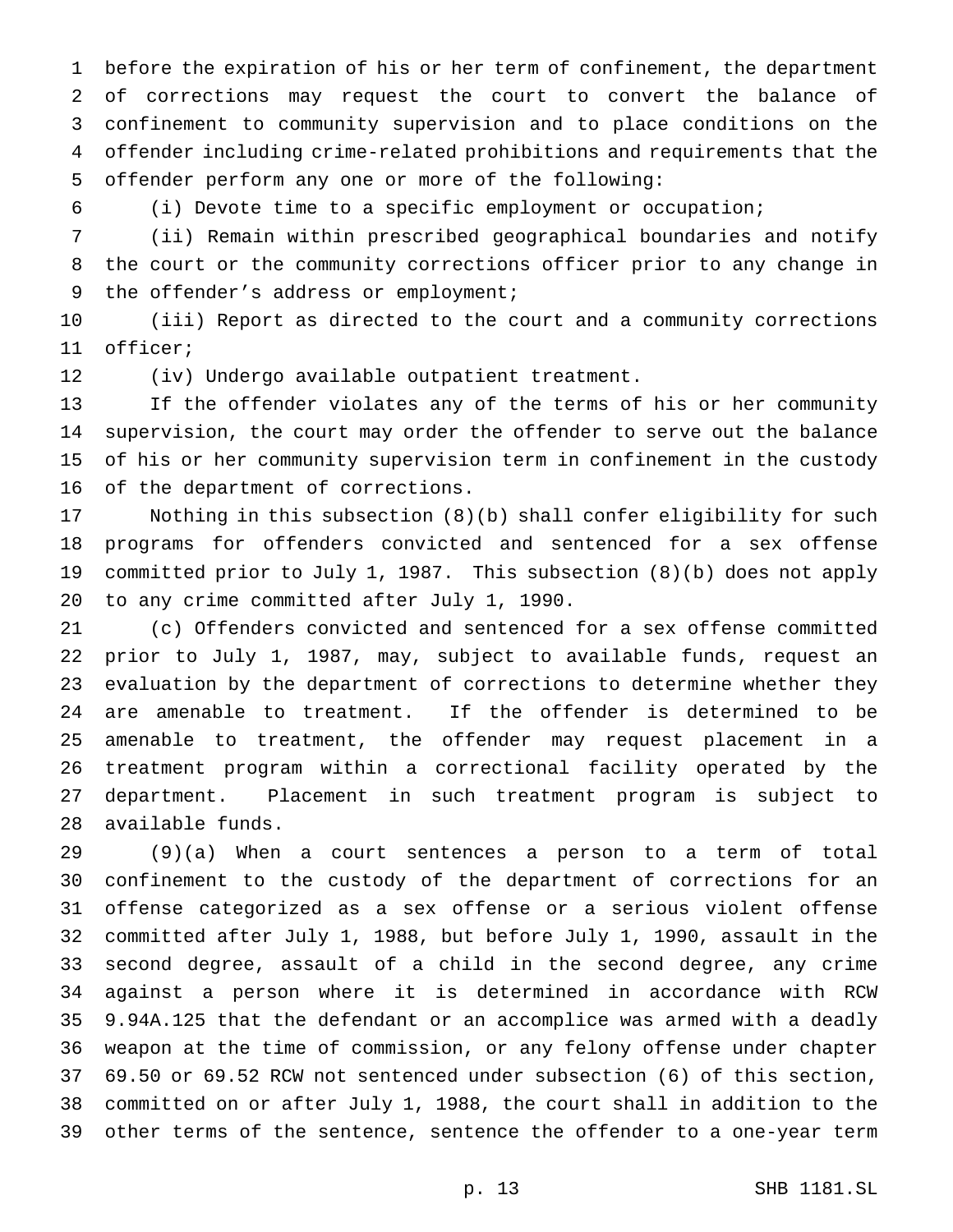before the expiration of his or her term of confinement, the department of corrections may request the court to convert the balance of confinement to community supervision and to place conditions on the offender including crime-related prohibitions and requirements that the offender perform any one or more of the following:

(i) Devote time to a specific employment or occupation;

 (ii) Remain within prescribed geographical boundaries and notify the court or the community corrections officer prior to any change in 9 the offender's address or employment;

 (iii) Report as directed to the court and a community corrections officer;

(iv) Undergo available outpatient treatment.

 If the offender violates any of the terms of his or her community supervision, the court may order the offender to serve out the balance of his or her community supervision term in confinement in the custody of the department of corrections.

 Nothing in this subsection (8)(b) shall confer eligibility for such programs for offenders convicted and sentenced for a sex offense committed prior to July 1, 1987. This subsection (8)(b) does not apply to any crime committed after July 1, 1990.

 (c) Offenders convicted and sentenced for a sex offense committed prior to July 1, 1987, may, subject to available funds, request an evaluation by the department of corrections to determine whether they are amenable to treatment. If the offender is determined to be amenable to treatment, the offender may request placement in a treatment program within a correctional facility operated by the department. Placement in such treatment program is subject to available funds.

 (9)(a) When a court sentences a person to a term of total confinement to the custody of the department of corrections for an offense categorized as a sex offense or a serious violent offense committed after July 1, 1988, but before July 1, 1990, assault in the second degree, assault of a child in the second degree, any crime against a person where it is determined in accordance with RCW 9.94A.125 that the defendant or an accomplice was armed with a deadly weapon at the time of commission, or any felony offense under chapter 69.50 or 69.52 RCW not sentenced under subsection (6) of this section, committed on or after July 1, 1988, the court shall in addition to the other terms of the sentence, sentence the offender to a one-year term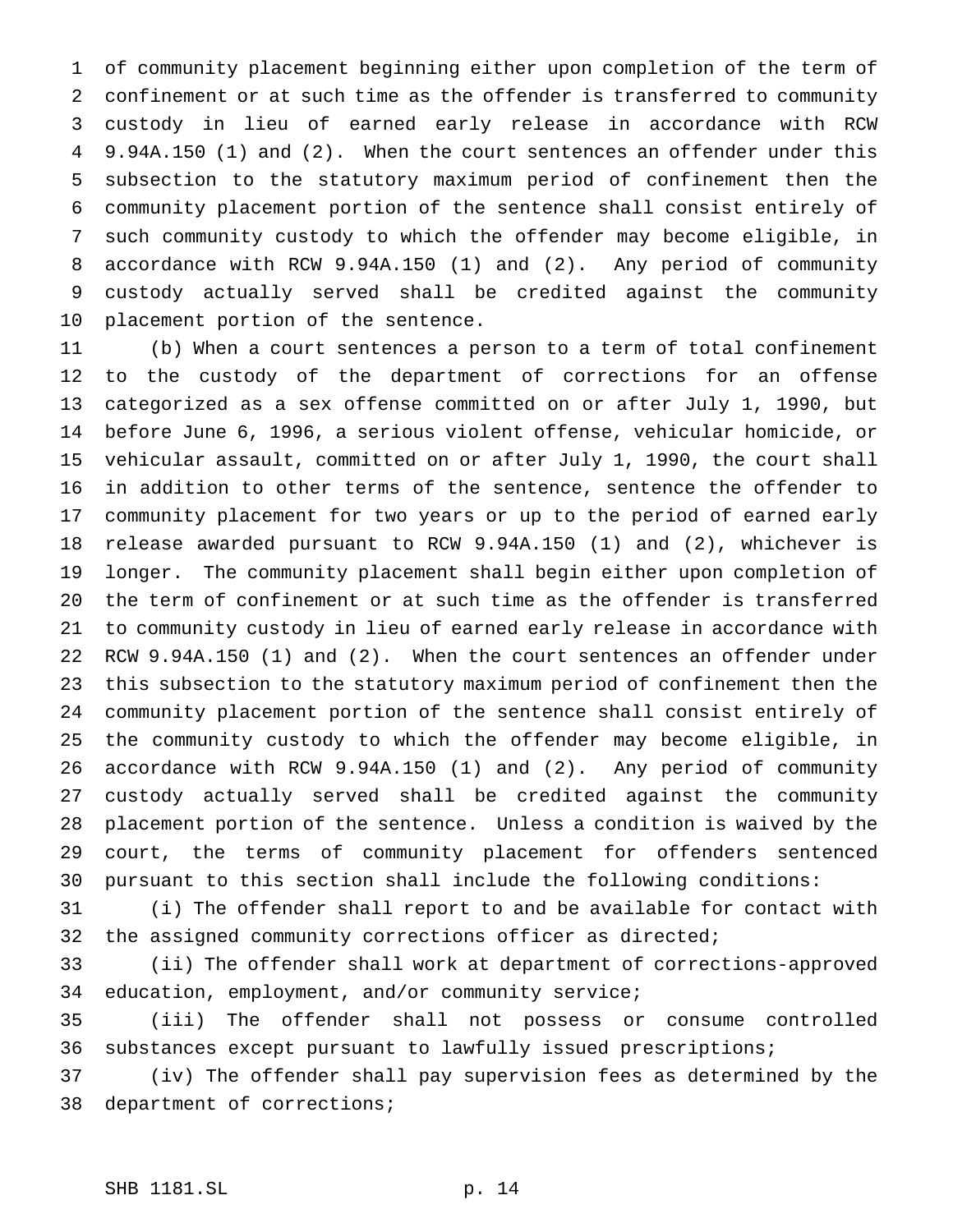of community placement beginning either upon completion of the term of confinement or at such time as the offender is transferred to community custody in lieu of earned early release in accordance with RCW 9.94A.150 (1) and (2). When the court sentences an offender under this subsection to the statutory maximum period of confinement then the community placement portion of the sentence shall consist entirely of such community custody to which the offender may become eligible, in accordance with RCW 9.94A.150 (1) and (2). Any period of community custody actually served shall be credited against the community placement portion of the sentence.

 (b) When a court sentences a person to a term of total confinement to the custody of the department of corrections for an offense categorized as a sex offense committed on or after July 1, 1990, but before June 6, 1996, a serious violent offense, vehicular homicide, or vehicular assault, committed on or after July 1, 1990, the court shall in addition to other terms of the sentence, sentence the offender to community placement for two years or up to the period of earned early release awarded pursuant to RCW 9.94A.150 (1) and (2), whichever is longer. The community placement shall begin either upon completion of the term of confinement or at such time as the offender is transferred to community custody in lieu of earned early release in accordance with RCW 9.94A.150 (1) and (2). When the court sentences an offender under this subsection to the statutory maximum period of confinement then the community placement portion of the sentence shall consist entirely of the community custody to which the offender may become eligible, in accordance with RCW 9.94A.150 (1) and (2). Any period of community custody actually served shall be credited against the community placement portion of the sentence. Unless a condition is waived by the court, the terms of community placement for offenders sentenced pursuant to this section shall include the following conditions:

 (i) The offender shall report to and be available for contact with the assigned community corrections officer as directed;

 (ii) The offender shall work at department of corrections-approved education, employment, and/or community service;

 (iii) The offender shall not possess or consume controlled substances except pursuant to lawfully issued prescriptions;

 (iv) The offender shall pay supervision fees as determined by the department of corrections;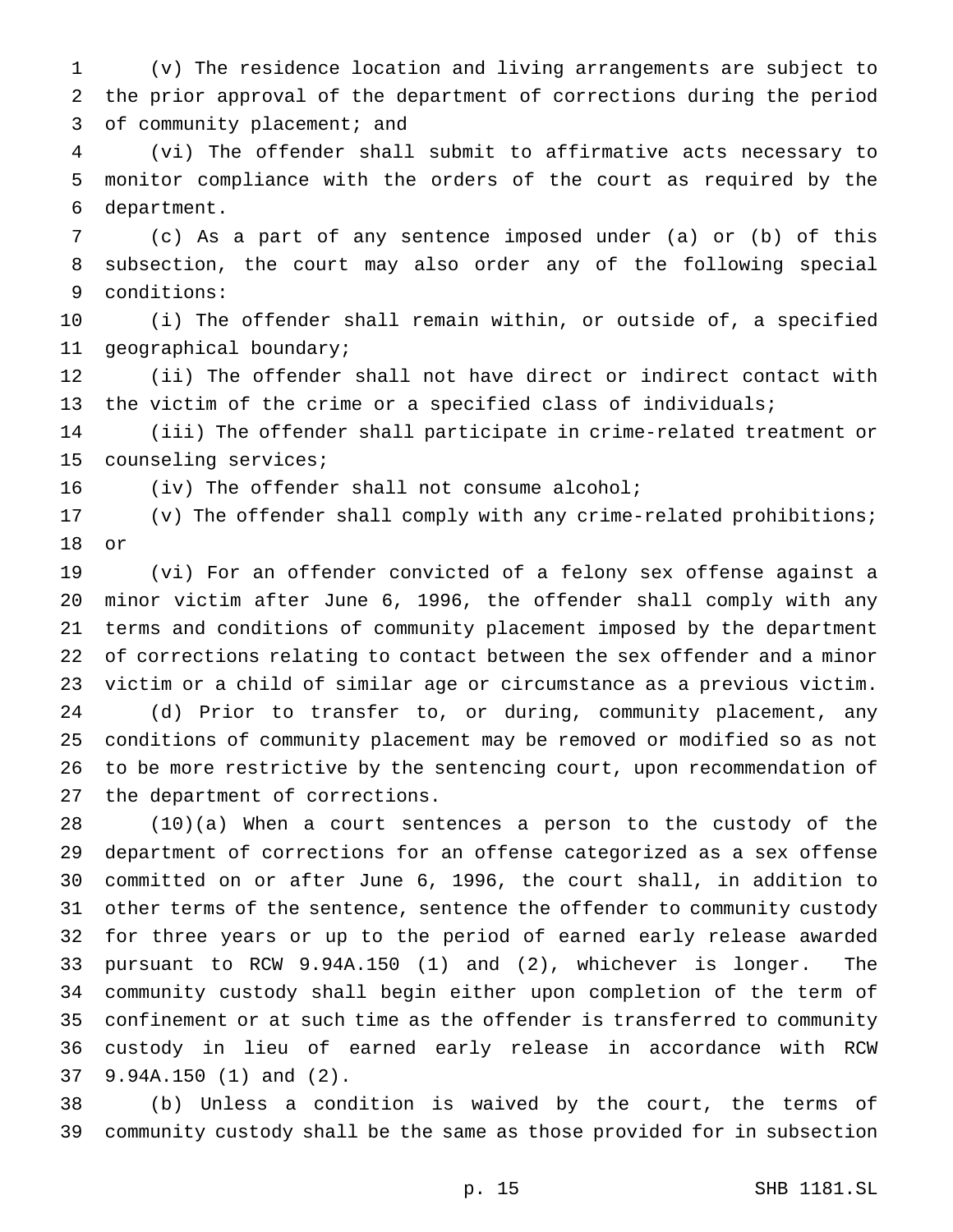(v) The residence location and living arrangements are subject to the prior approval of the department of corrections during the period 3 of community placement; and

 (vi) The offender shall submit to affirmative acts necessary to monitor compliance with the orders of the court as required by the department.

 (c) As a part of any sentence imposed under (a) or (b) of this subsection, the court may also order any of the following special conditions:

 (i) The offender shall remain within, or outside of, a specified geographical boundary;

 (ii) The offender shall not have direct or indirect contact with the victim of the crime or a specified class of individuals;

 (iii) The offender shall participate in crime-related treatment or counseling services;

(iv) The offender shall not consume alcohol;

 (v) The offender shall comply with any crime-related prohibitions; or

 (vi) For an offender convicted of a felony sex offense against a minor victim after June 6, 1996, the offender shall comply with any terms and conditions of community placement imposed by the department of corrections relating to contact between the sex offender and a minor victim or a child of similar age or circumstance as a previous victim. (d) Prior to transfer to, or during, community placement, any conditions of community placement may be removed or modified so as not to be more restrictive by the sentencing court, upon recommendation of the department of corrections.

 (10)(a) When a court sentences a person to the custody of the department of corrections for an offense categorized as a sex offense committed on or after June 6, 1996, the court shall, in addition to other terms of the sentence, sentence the offender to community custody for three years or up to the period of earned early release awarded pursuant to RCW 9.94A.150 (1) and (2), whichever is longer. The community custody shall begin either upon completion of the term of confinement or at such time as the offender is transferred to community custody in lieu of earned early release in accordance with RCW 9.94A.150 (1) and (2).

 (b) Unless a condition is waived by the court, the terms of community custody shall be the same as those provided for in subsection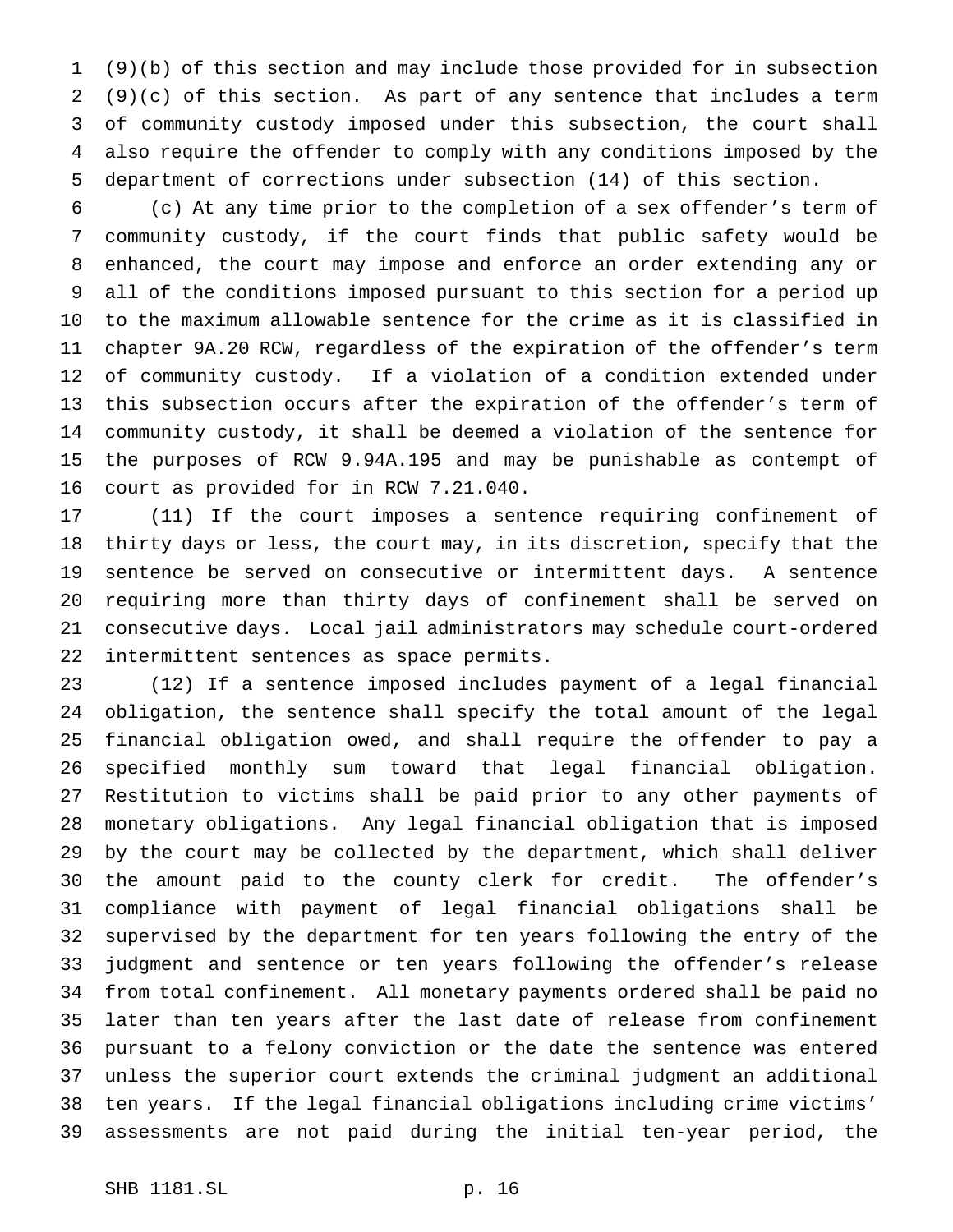(9)(b) of this section and may include those provided for in subsection (9)(c) of this section. As part of any sentence that includes a term of community custody imposed under this subsection, the court shall also require the offender to comply with any conditions imposed by the department of corrections under subsection (14) of this section.

 (c) At any time prior to the completion of a sex offender's term of community custody, if the court finds that public safety would be enhanced, the court may impose and enforce an order extending any or all of the conditions imposed pursuant to this section for a period up to the maximum allowable sentence for the crime as it is classified in chapter 9A.20 RCW, regardless of the expiration of the offender's term of community custody. If a violation of a condition extended under this subsection occurs after the expiration of the offender's term of community custody, it shall be deemed a violation of the sentence for the purposes of RCW 9.94A.195 and may be punishable as contempt of court as provided for in RCW 7.21.040.

 (11) If the court imposes a sentence requiring confinement of thirty days or less, the court may, in its discretion, specify that the sentence be served on consecutive or intermittent days. A sentence requiring more than thirty days of confinement shall be served on consecutive days. Local jail administrators may schedule court-ordered intermittent sentences as space permits.

 (12) If a sentence imposed includes payment of a legal financial obligation, the sentence shall specify the total amount of the legal financial obligation owed, and shall require the offender to pay a specified monthly sum toward that legal financial obligation. Restitution to victims shall be paid prior to any other payments of monetary obligations. Any legal financial obligation that is imposed by the court may be collected by the department, which shall deliver the amount paid to the county clerk for credit. The offender's compliance with payment of legal financial obligations shall be supervised by the department for ten years following the entry of the judgment and sentence or ten years following the offender's release from total confinement. All monetary payments ordered shall be paid no later than ten years after the last date of release from confinement pursuant to a felony conviction or the date the sentence was entered unless the superior court extends the criminal judgment an additional ten years. If the legal financial obligations including crime victims' assessments are not paid during the initial ten-year period, the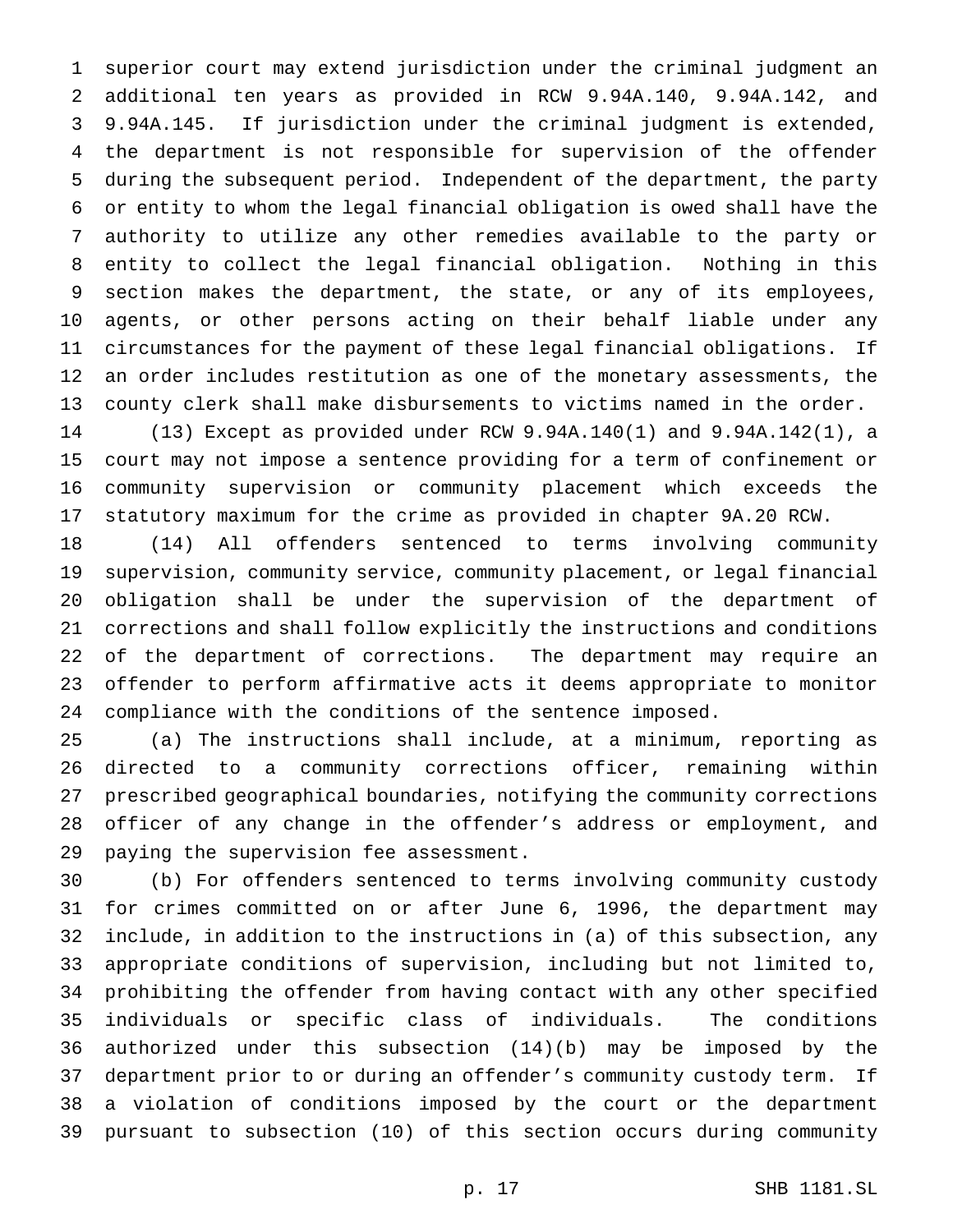superior court may extend jurisdiction under the criminal judgment an additional ten years as provided in RCW 9.94A.140, 9.94A.142, and 9.94A.145. If jurisdiction under the criminal judgment is extended, the department is not responsible for supervision of the offender during the subsequent period. Independent of the department, the party or entity to whom the legal financial obligation is owed shall have the authority to utilize any other remedies available to the party or entity to collect the legal financial obligation. Nothing in this section makes the department, the state, or any of its employees, agents, or other persons acting on their behalf liable under any circumstances for the payment of these legal financial obligations. If an order includes restitution as one of the monetary assessments, the county clerk shall make disbursements to victims named in the order.

 (13) Except as provided under RCW 9.94A.140(1) and 9.94A.142(1), a court may not impose a sentence providing for a term of confinement or community supervision or community placement which exceeds the statutory maximum for the crime as provided in chapter 9A.20 RCW.

 (14) All offenders sentenced to terms involving community supervision, community service, community placement, or legal financial obligation shall be under the supervision of the department of corrections and shall follow explicitly the instructions and conditions of the department of corrections. The department may require an offender to perform affirmative acts it deems appropriate to monitor compliance with the conditions of the sentence imposed.

 (a) The instructions shall include, at a minimum, reporting as directed to a community corrections officer, remaining within prescribed geographical boundaries, notifying the community corrections officer of any change in the offender's address or employment, and paying the supervision fee assessment.

 (b) For offenders sentenced to terms involving community custody for crimes committed on or after June 6, 1996, the department may include, in addition to the instructions in (a) of this subsection, any appropriate conditions of supervision, including but not limited to, prohibiting the offender from having contact with any other specified individuals or specific class of individuals. The conditions authorized under this subsection (14)(b) may be imposed by the department prior to or during an offender's community custody term. If a violation of conditions imposed by the court or the department pursuant to subsection (10) of this section occurs during community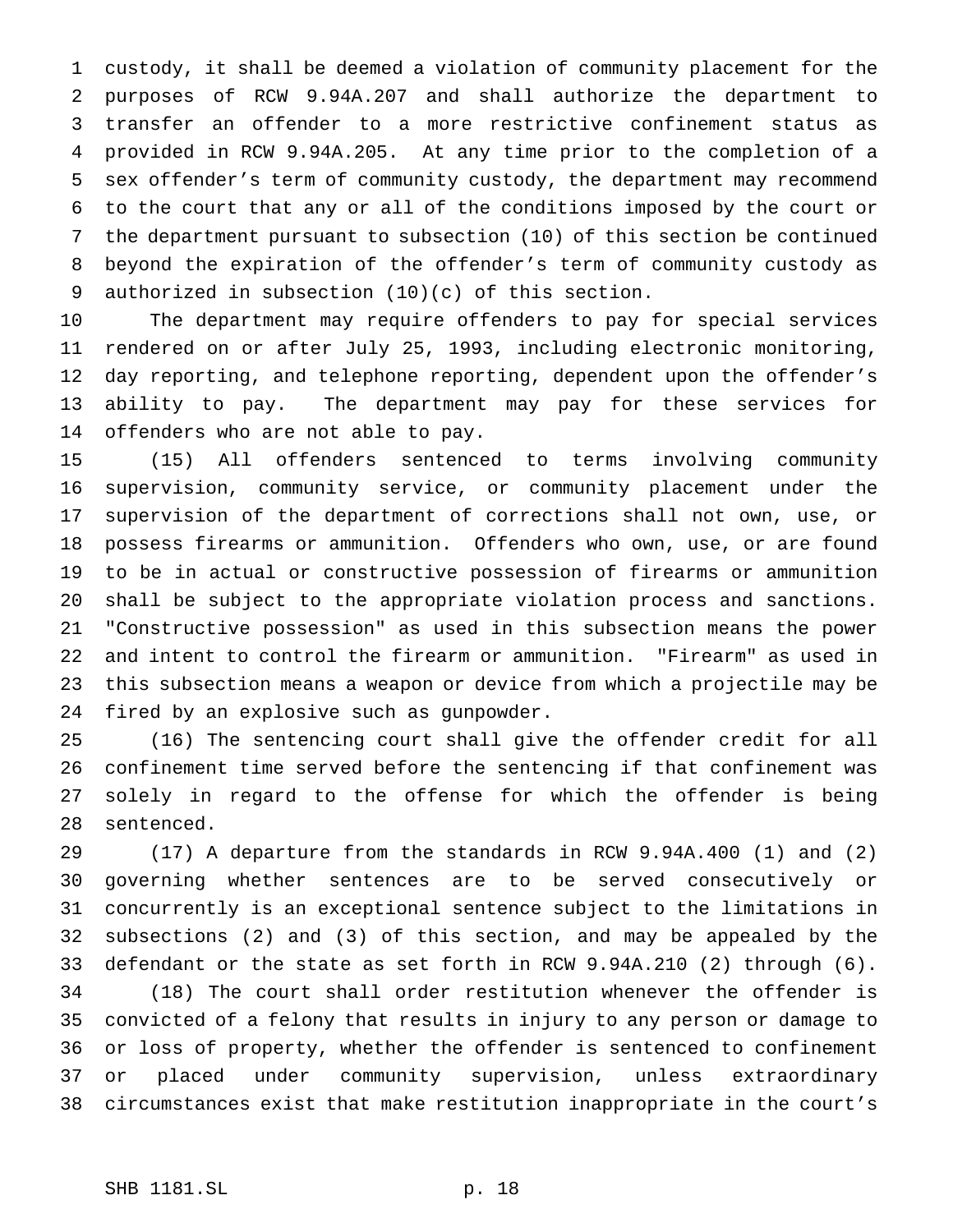custody, it shall be deemed a violation of community placement for the purposes of RCW 9.94A.207 and shall authorize the department to transfer an offender to a more restrictive confinement status as provided in RCW 9.94A.205. At any time prior to the completion of a sex offender's term of community custody, the department may recommend to the court that any or all of the conditions imposed by the court or the department pursuant to subsection (10) of this section be continued beyond the expiration of the offender's term of community custody as authorized in subsection (10)(c) of this section.

 The department may require offenders to pay for special services rendered on or after July 25, 1993, including electronic monitoring, day reporting, and telephone reporting, dependent upon the offender's ability to pay. The department may pay for these services for offenders who are not able to pay.

 (15) All offenders sentenced to terms involving community supervision, community service, or community placement under the supervision of the department of corrections shall not own, use, or possess firearms or ammunition. Offenders who own, use, or are found to be in actual or constructive possession of firearms or ammunition shall be subject to the appropriate violation process and sanctions. "Constructive possession" as used in this subsection means the power and intent to control the firearm or ammunition. "Firearm" as used in this subsection means a weapon or device from which a projectile may be fired by an explosive such as gunpowder.

 (16) The sentencing court shall give the offender credit for all confinement time served before the sentencing if that confinement was solely in regard to the offense for which the offender is being sentenced.

 (17) A departure from the standards in RCW 9.94A.400 (1) and (2) governing whether sentences are to be served consecutively or concurrently is an exceptional sentence subject to the limitations in subsections (2) and (3) of this section, and may be appealed by the defendant or the state as set forth in RCW 9.94A.210 (2) through (6). (18) The court shall order restitution whenever the offender is convicted of a felony that results in injury to any person or damage to or loss of property, whether the offender is sentenced to confinement or placed under community supervision, unless extraordinary circumstances exist that make restitution inappropriate in the court's